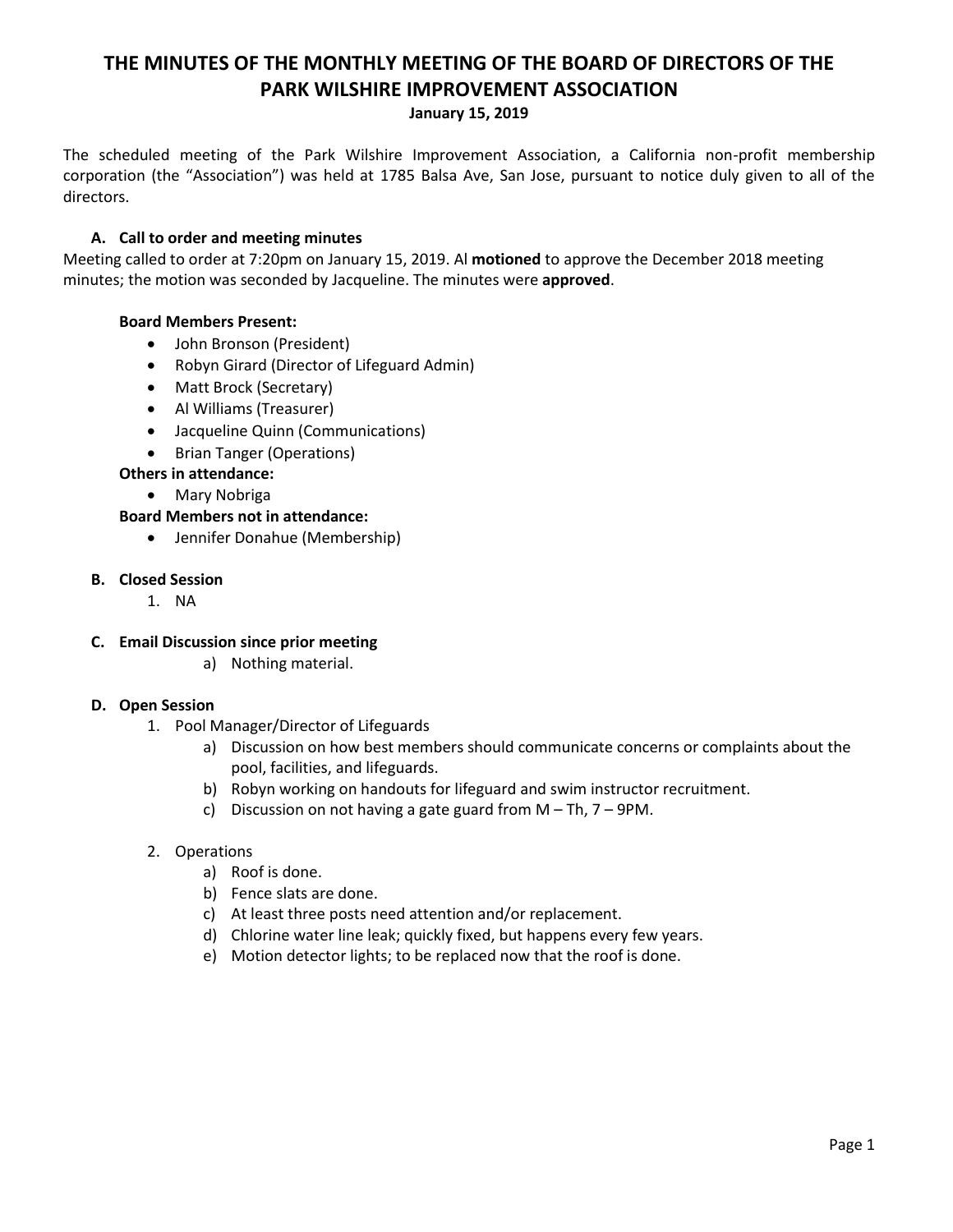# **THE MINUTES OF THE MONTHLY MEETING OF THE BOARD OF DIRECTORS OF THE PARK WILSHIRE IMPROVEMENT ASSOCIATION**

## **January 15, 2019**

The scheduled meeting of the Park Wilshire Improvement Association, a California non-profit membership corporation (the "Association") was held at 1785 Balsa Ave, San Jose, pursuant to notice duly given to all of the directors.

## **A. Call to order and meeting minutes**

Meeting called to order at 7:20pm on January 15, 2019. Al **motioned** to approve the December 2018 meeting minutes; the motion was seconded by Jacqueline. The minutes were **approved**.

## **Board Members Present:**

- John Bronson (President)
- Robyn Girard (Director of Lifeguard Admin)
- Matt Brock (Secretary)
- Al Williams (Treasurer)
- Jacqueline Quinn (Communications)
- Brian Tanger (Operations)

## **Others in attendance:**

Mary Nobriga

## **Board Members not in attendance:**

Jennifer Donahue (Membership)

#### **B. Closed Session**

1. NA

## **C. Email Discussion since prior meeting**

a) Nothing material.

## **D. Open Session**

- 1. Pool Manager/Director of Lifeguards
	- a) Discussion on how best members should communicate concerns or complaints about the pool, facilities, and lifeguards.
	- b) Robyn working on handouts for lifeguard and swim instructor recruitment.
	- c) Discussion on not having a gate guard from M Th, 7 9PM.

## 2. Operations

- a) Roof is done.
- b) Fence slats are done.
- c) At least three posts need attention and/or replacement.
- d) Chlorine water line leak; quickly fixed, but happens every few years.
- e) Motion detector lights; to be replaced now that the roof is done.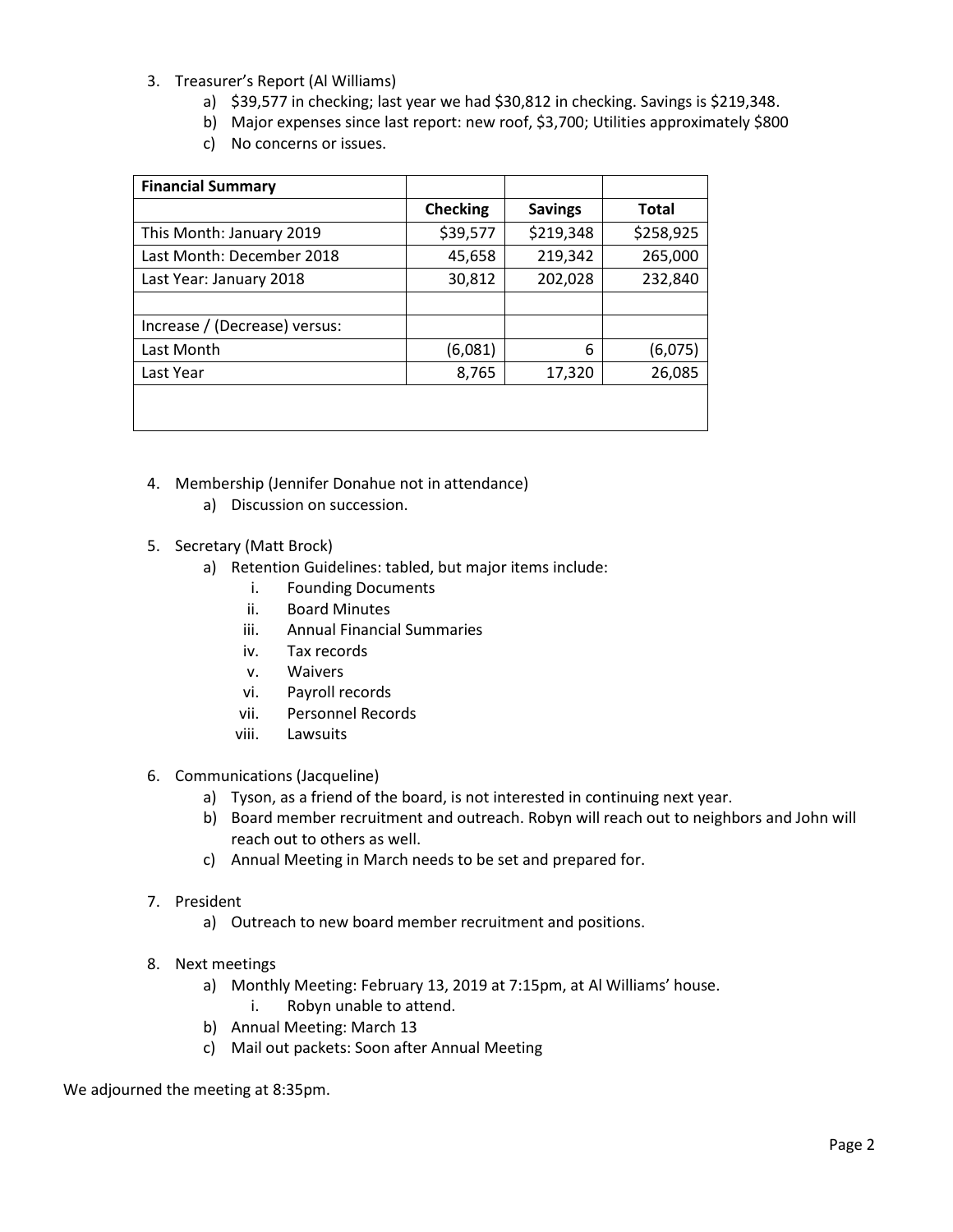- 3. Treasurer's Report (Al Williams)
	- a) \$39,577 in checking; last year we had \$30,812 in checking. Savings is \$219,348.
	- b) Major expenses since last report: new roof, \$3,700; Utilities approximately \$800
	- c) No concerns or issues.

| <b>Financial Summary</b>      |                 |                |              |
|-------------------------------|-----------------|----------------|--------------|
|                               | <b>Checking</b> | <b>Savings</b> | <b>Total</b> |
| This Month: January 2019      | \$39,577        | \$219,348      | \$258,925    |
| Last Month: December 2018     | 45,658          | 219,342        | 265,000      |
| Last Year: January 2018       | 30,812          | 202,028        | 232,840      |
|                               |                 |                |              |
| Increase / (Decrease) versus: |                 |                |              |
| Last Month                    | (6,081)         | 6              | (6,075)      |
| Last Year                     | 8,765           | 17,320         | 26,085       |
|                               |                 |                |              |
|                               |                 |                |              |

- 4. Membership (Jennifer Donahue not in attendance)
	- a) Discussion on succession.
- 5. Secretary (Matt Brock)
	- a) Retention Guidelines: tabled, but major items include:
		- i. Founding Documents
		- ii. Board Minutes
		- iii. Annual Financial Summaries
		- iv. Tax records
		- v. Waivers
		- vi. Payroll records
		- vii. Personnel Records
		- viii. Lawsuits
- 6. Communications (Jacqueline)
	- a) Tyson, as a friend of the board, is not interested in continuing next year.
	- b) Board member recruitment and outreach. Robyn will reach out to neighbors and John will reach out to others as well.
	- c) Annual Meeting in March needs to be set and prepared for.
- 7. President
	- a) Outreach to new board member recruitment and positions.
- 8. Next meetings
	- a) Monthly Meeting: February 13, 2019 at 7:15pm, at Al Williams' house. i. Robyn unable to attend.
	- b) Annual Meeting: March 13
	- c) Mail out packets: Soon after Annual Meeting

We adjourned the meeting at 8:35pm.